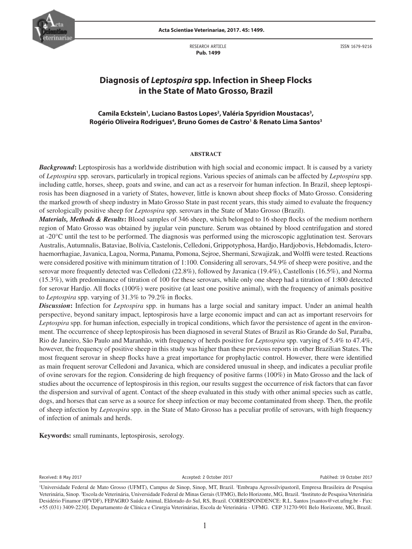

RESEARCH ARTICLE  **Pub. 1499**

ISSN 1679-9216

# **Diagnosis of** *Leptospira* **spp. Infection in Sheep Flocks in the State of Mato Grosso, Brazil**

## Camila Eckstein<sup>1</sup>, Luciano Bastos Lopes<sup>2</sup>, Valéria Spyridion Moustacas<sup>3</sup>, **Rogério Oliveira Rodrigues4 , Bruno Gomes de Castro1 & Renato Lima Santos3**

#### **ABSTRACT**

**Background:** Leptospirosis has a worldwide distribution with high social and economic impact. It is caused by a variety of *Leptospira* spp. serovars, particularly in tropical regions. Various species of animals can be affected by *Leptospira* spp. including cattle, horses, sheep, goats and swine, and can act as a reservoir for human infection. In Brazil, sheep leptospirosis has been diagnosed in a variety of States, however, little is known about sheep flocks of Mato Grosso. Considering the marked growth of sheep industry in Mato Grosso State in past recent years, this study aimed to evaluate the frequency of serologically positive sheep for *Leptospira* spp. serovars in the State of Mato Grosso (Brazil).

*Materials, Methods & Results***:** Blood samples of 346 sheep, which belonged to 16 sheep flocks of the medium northern region of Mato Grosso was obtained by jugular vein puncture. Serum was obtained by blood centrifugation and stored at -20°C until the test to be performed. The diagnosis was performed using the microscopic agglutination test. Serovars Australis, Autumnalis, Bataviae, Bolívia, Castelonis, Celledoni, Grippotyphosa, Hardjo, Hardjobovis, Hebdomadis, Icterohaemorrhagiae, Javanica, Lagoa, Norma, Panama, Pomona, Sejroe, Shermani, Szwajizak, and Wolffi were tested. Reactions were considered positive with minimum titration of 1:100. Considering all serovars, 54.9% of sheep were positive, and the serovar more frequently detected was Celledoni (22.8%), followed by Javanica (19.4%), Castellonis (16.5%), and Norma (15.3%), with predominance of titration of 100 for these serovars, while only one sheep had a titration of 1:800 detected for serovar Hardjo. All flocks (100%) were positive (at least one positive animal), with the frequency of animals positive to *Leptospira* spp. varying of 31.3% to 79.2% in flocks.

*Discussion***:** Infection for *Leptospira* spp. in humans has a large social and sanitary impact. Under an animal health perspective, beyond sanitary impact, leptospirosis have a large economic impact and can act as important reservoirs for *Leptospira* spp. for human infection, especially in tropical conditions, which favor the persistence of agent in the environment. The occurrence of sheep leptospirosis has been diagnosed in several States of Brazil as Rio Grande do Sul, Paraíba, Rio de Janeiro, São Paulo and Maranhão, with frequency of herds positive for *Leptospira* spp. varying of 5.4% to 47.4%, however, the frequency of positive sheep in this study was higher than these previous reports in other Brazilian States. The most frequent serovar in sheep flocks have a great importance for prophylactic control. However, there were identified as main frequent serovar Celledoni and Javanica, which are considered unusual in sheep, and indicates a peculiar profile of ovine serovars for the region. Considering de high frequency of positive farms (100%) in Mato Grosso and the lack of studies about the occurrence of leptospirosis in this region, our results suggest the occurrence of risk factors that can favor the dispersion and survival of agent. Contact of the sheep evaluated in this study with other animal species such as cattle, dogs, and horses that can serve as a source for sheep infection or may become contaminated from sheep. Then, the profile of sheep infection by *Leptospira* spp. in the State of Mato Grosso has a peculiar profile of serovars, with high frequency of infection of animals and herds.

**Keywords:** small ruminants, leptospirosis, serology.

Received: 8 May 2017 **Accepted: 2 October 2017** Accepted: 2 October 2017 **Publihed: 19 October 2017** 

<sup>&</sup>lt;sup>1</sup>Universidade Federal de Mato Grosso (UFMT), Campus de Sinop, Sinop, MT, Brazil. <sup>2</sup>Embrapa Agrossilvipastoril, Empresa Brasileira de Pesquisa Veterinária, Sinop. <sup>3</sup>Escola de Veterinária, Universidade Federal de Minas Gerais (UFMG), Belo Horizonte, MG, Brazil. <sup>4</sup>Instituto de Pesquisa Veterinária Desidério Finamor (IPVDF), FEPAGRO Saúde Animal, Eldorado do Sul, RS, Brazil. CORRESPONDENCE: R.L. Santos [rsantos@vet.ufmg.br - Fax: +55 (031) 3409-2230]. Departamento de Clínica e Cirurgia Veterinárias, Escola de Veterinária - UFMG. CEP 31270-901 Belo Horizonte, MG, Brazil.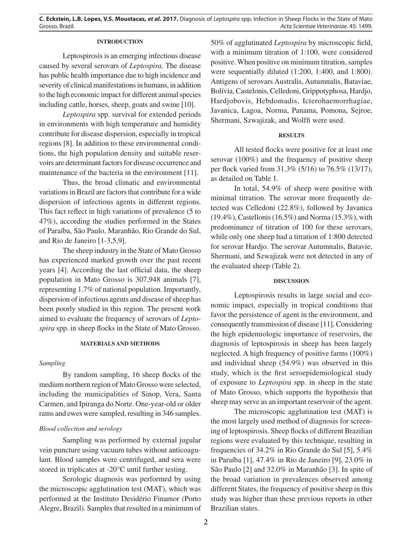**C. Eckstein, L.B. Lopes, V.S. Moustacas,** *et al***. 2017.** Diagnosis of *Leptospira* spp. Infection in Sheep Flocks in the State of Mato Grosso, Brazil. *Acta Scientiae Veterinariae*. 45: 1499.

### **INTRODUCTION**

Leptospirosis is an emerging infectious disease caused by several serovars of *Leptospira*. The disease has public health importance due to high incidence and severity of clinical manifestations in humans, in addition to the high economic impact for different animal species including cattle, horses, sheep, goats and swine [10].

*Leptospira* spp. survival for extended periods in environments with high temperature and humidity contribute for disease dispersion, especially in tropical regions [8]. In addition to these environmental conditions, the high population density and suitable reservoirs are determinant factors for disease occurrence and maintenance of the bacteria in the environment [11].

Thus, the broad climatic and environmental variations in Brazil are factors that contribute for a wide dispersion of infectious agents in different regions. This fact reflect in high variations of prevalence (5 to 47%), according the studies performed in the States of Paraíba, São Paulo, Maranhão, Rio Grande do Sul, and Rio de Janeiro [1-3,5,9].

The sheep industry in the State of Mato Grosso has experienced marked growth over the past recent years [4]. According the last official data, the sheep population in Mato Grosso is 307,948 animals [7], representing 1.7% of national population. Importantly, dispersion of infectious agents and disease of sheep has been poorly studied in this region. The present work aimed to evaluate the frequency of serovars of *Leptospira* spp. in sheep flocks in the State of Mato Grosso.

### **MATERIALS AND METHODS**

### *Sampling*

By random sampling, 16 sheep flocks of the medium northern region of Mato Grosso were selected, including the municipalities of Sinop, Vera, Santa Carmen, and Ipiranga do Norte. One-year-old or older rams and ewes were sampled, resulting in 346 samples.

### *Blood collection and serology*

Sampling was performed by external jugular vein puncture using vacuum tubes without anticoagulant. Blood samples were centrifuged, and sera were stored in triplicates at -20°C until further testing.

Serologic diagnosis was performed by using the microscopic agglutination test (MAT), which was performed at the Instituto Desidério Finamor (Porto Alegre, Brazil). Samples that resulted in a minimum of 50% of agglutinated *Leptospira* by microscopic field, with a minimum titration of 1:100, were considered positive. When positive on minimum titration, samples were sequentially diluted (1:200, 1:400, and 1:800). Antigens of serovars Australis, Autumnalis, Bataviae, Bolívia, Castelonis, Celledoni, Grippotyphosa, Hardjo, Hardjobovis, Hebdomadis, Icterohaemorrhagiae, Javanica, Lagoa, Norma, Panama, Pomona, Sejroe, Shermani, Szwajizak, and Wolffi were used.

### **RESULTS**

All tested flocks were positive for at least one serovar (100%) and the frequency of positive sheep per flock varied from 31.3% (5/16) to 76.5% (13/17), as detailed on Table 1.

In total, 54.9% of sheep were positive with minimal titration. The serovar more frequently detected was Celledoni (22.8%), followed by Javanica (19.4%), Castellonis (16.5%) and Norma (15.3%), with predominance of titration of 100 for these serovars, while only one sheep had a titration of 1:800 detected for serovar Hardjo. The serovar Autumnalis, Batavie, Shermani, and Szwajizak were not detected in any of the evaluated sheep (Table 2).

#### **DISCUSSION**

Leptospirosis results in large social and economic impact, especially in tropical conditions that favor the persistence of agent in the environment, and consequently transmission of disease [11]. Considering the high epidemiologic importance of reservoirs, the diagnosis of leptospirosis in sheep has been largely neglected. A high frequency of positive farms (100%) and individual sheep (54.9%) was observed in this study, which is the first seroepidemiological study of exposure to *Leptospira* spp. in sheep in the state of Mato Grosso, which supports the hypothesis that sheep may serve as an important reservoir of the agent.

The microscopic agglutination test (MAT) is the most largely used method of diagnosis for screening of leptospirosis. Sheep flocks of different Brazilian regions were evaluated by this technique, resulting in frequencies of 34.2% in Rio Grande do Sul [5], 5.4% in Paraíba [1], 47.4% in Rio de Janeiro [9], 23.0% in São Paulo [2] and 32.0% in Maranhão [3]. In spite of the broad variation in prevalences observed among different States, the frequency of positive sheep in this study was higher than these previous reports in other Brazilian states.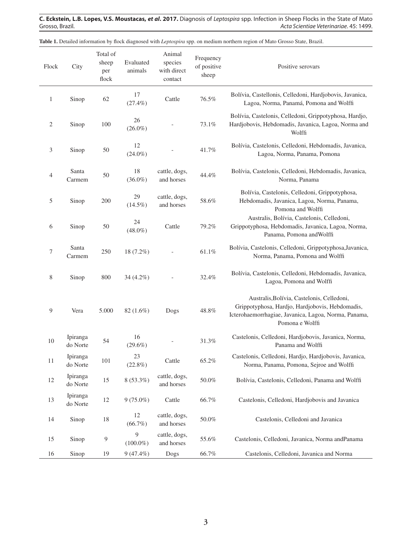**C. Eckstein, L.B. Lopes, V.S. Moustacas,** *et al***. 2017.** Diagnosis of *Leptospira* spp. Infection in Sheep Flocks in the State of Mato Acta Scientiae Veterinariae. 45: 1499.

| Flock          | City                 | Total of<br>sheep<br>per<br>flock | Evaluated<br>animals | Animal<br>species<br>with direct<br>contact | Frequency<br>of positive<br>sheep | Positive serovars                                                                                                                                                        |  |  |
|----------------|----------------------|-----------------------------------|----------------------|---------------------------------------------|-----------------------------------|--------------------------------------------------------------------------------------------------------------------------------------------------------------------------|--|--|
| $\mathbf{1}$   | Sinop                | 62                                | 17<br>$(27.4\%)$     | Cattle                                      | 76.5%                             | Bolívia, Castellonis, Celledoni, Hardjobovis, Javanica,<br>Lagoa, Norma, Panamá, Pomona and Wolffi                                                                       |  |  |
| $\overline{c}$ | Sinop                | 100                               | 26<br>$(26.0\%)$     |                                             | 73.1%                             | Bolívia, Castelonis, Celledoni, Grippotyphosa, Hardjo,<br>Hardjobovis, Hebdomadis, Javanica, Lagoa, Norma and<br>Wolffi                                                  |  |  |
| 3              | Sinop                | 50                                | 12<br>$(24.0\%)$     |                                             | 41.7%                             | Bolívia, Castelonis, Celledoni, Hebdomadis, Javanica,<br>Lagoa, Norma, Panama, Pomona                                                                                    |  |  |
| 4              | Santa<br>Carmem      | $50\,$                            | 18<br>$(36.0\%)$     | cattle, dogs,<br>and horses                 | 44.4%                             | Bolívia, Castelonis, Celledoni, Hebdomadis, Javanica,<br>Norma, Panama                                                                                                   |  |  |
| 5              | Sinop                | 200                               | 29<br>$(14.5\%)$     | cattle, dogs,<br>and horses                 | 58.6%                             | Bolívia, Castelonis, Celledoni, Grippotyphosa,<br>Hebdomadis, Javanica, Lagoa, Norma, Panama,<br>Pomona and Wolffi                                                       |  |  |
| 6              | Sinop                | 50                                | 24<br>$(48.0\%)$     | Cattle                                      | 79.2%                             | Australis, Bolívia, Castelonis, Celledoni,<br>Grippotyphosa, Hebdomadis, Javanica, Lagoa, Norma,<br>Panama, Pomona and Wolffi                                            |  |  |
| 7              | Santa<br>Carmem      | 250                               | 18 (7.2%)            |                                             | $61.1\%$                          | Bolívia, Castelonis, Celledoni, Grippotyphosa, Javanica,<br>Norma, Panama, Pomona and Wolffi                                                                             |  |  |
| 8              | Sinop                | 800                               | $34(4.2\%)$          |                                             | 32.4%                             | Bolívia, Castelonis, Celledoni, Hebdomadis, Javanica,<br>Lagoa, Pomona and Wolffi                                                                                        |  |  |
| 9              | Vera                 | 5.000                             | $82(1.6\%)$          | Dogs                                        | 48.8%                             | Australis, Bolívia, Castelonis, Celledoni,<br>Grippotyphosa, Hardjo, Hardjobovis, Hebdomadis,<br>Icterohaemorrhagiae, Javanica, Lagoa, Norma, Panama,<br>Pomona e Wolffi |  |  |
| 10             | Ipiranga<br>do Norte | 54                                | 16<br>$(29.6\%)$     |                                             | 31.3%                             | Castelonis, Celledoni, Hardjobovis, Javanica, Norma,<br>Panama and Wolffi                                                                                                |  |  |
| 11             | Ipiranga<br>do Norte | 101                               | 23<br>$(22.8\%)$     | Cattle                                      | 65.2%                             | Castelonis, Celledoni, Hardjo, Hardjobovis, Javanica,<br>Norma, Panama, Pomona, Sejroe and Wolffi                                                                        |  |  |
| 12             | Ipiranga<br>do Norte | 15                                | 8 (53.3%)            | cattle, dogs,<br>and horses                 | $50.0\%$                          | Bolívia, Castelonis, Celledoni, Panama and Wolffi                                                                                                                        |  |  |
| 13             | Ipiranga<br>do Norte | 12                                | $9(75.0\%)$          | Cattle                                      | 66.7%                             | Castelonis, Celledoni, Hardjobovis and Javanica                                                                                                                          |  |  |
| 14             | Sinop                | 18                                | 12<br>(66.7%)        | cattle, dogs,<br>and horses                 | 50.0%                             | Castelonis, Celledoni and Javanica                                                                                                                                       |  |  |
| 15             | Sinop                | $\overline{9}$                    | 9<br>$(100.0\%)$     | cattle, dogs,<br>and horses                 | 55.6%                             | Castelonis, Celledoni, Javanica, Norma andPanama                                                                                                                         |  |  |
| 16             | Sinop                | 19                                | $9(47.4\%)$          | Dogs                                        | 66.7%                             | Castelonis, Celledoni, Javanica and Norma                                                                                                                                |  |  |

**Table 1.** Detailed information by flock diagnosed with *Leptospira* spp. on medium northern region of Mato Grosso State, Brazil.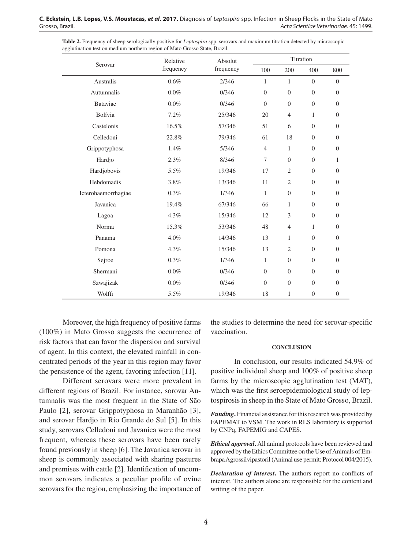| <b>Table 2.</b> Frequency of sheep serologically positive for <i>Leptospira</i> spp. serovars and maximum titration detected by microscopic |          |                |           |  |  |  |  |  |  |  |  |
|---------------------------------------------------------------------------------------------------------------------------------------------|----------|----------------|-----------|--|--|--|--|--|--|--|--|
| agglutination test on medium northern region of Mato Grosso State, Brazil.                                                                  |          |                |           |  |  |  |  |  |  |  |  |
|                                                                                                                                             | Relative | <b>Absolut</b> | Titration |  |  |  |  |  |  |  |  |
| Serovar                                                                                                                                     | £        | 1              |           |  |  |  |  |  |  |  |  |

|                     | relative  | Ausulut   |                |                |                  |                  |
|---------------------|-----------|-----------|----------------|----------------|------------------|------------------|
| Serovar             | frequency | frequency | 100            | 200            | 400              | 800              |
| Australis           | 0.6%      | 2/346     | $\mathbf{1}$   | $\mathbf{1}$   | $\theta$         | $\overline{0}$   |
| Autumnalis          | $0.0\%$   | 0/346     | $\theta$       | $\overline{0}$ | $\theta$         | $\overline{0}$   |
| <b>Bataviae</b>     | $0.0\%$   | 0/346     | $\theta$       | $\mathbf{0}$   | $\theta$         | $\overline{0}$   |
| Bolívia             | 7.2%      | 25/346    | 20             | $\overline{4}$ | $\mathbf{1}$     | $\overline{0}$   |
| Castelonis          | 16.5%     | 57/346    | 51             | 6              | $\theta$         | $\overline{0}$   |
| Celledoni           | 22.8%     | 79/346    | 61             | 18             | $\overline{0}$   | $\boldsymbol{0}$ |
| Grippotyphosa       | 1.4%      | 5/346     | $\overline{4}$ | 1              | $\theta$         | $\overline{0}$   |
| Hardjo              | 2.3%      | 8/346     | 7              | $\overline{0}$ | $\theta$         | $\mathbf{1}$     |
| Hardjobovis         | 5.5%      | 19/346    | 17             | $\overline{2}$ | $\theta$         | $\Omega$         |
| Hebdomadis          | 3.8%      | 13/346    | 11             | $\overline{2}$ | $\overline{0}$   | $\overline{0}$   |
| Icterohaemorrhagiae | 0.3%      | 1/346     | $\mathbf{1}$   | $\overline{0}$ | $\theta$         | $\overline{0}$   |
| Javanica            | 19.4%     | 67/346    | 66             | $\mathbf{1}$   | $\overline{0}$   | $\overline{0}$   |
| Lagoa               | 4.3%      | 15/346    | 12             | 3              | $\overline{0}$   | $\overline{0}$   |
| Norma               | 15.3%     | 53/346    | 48             | $\overline{4}$ | $\mathbf{1}$     | $\boldsymbol{0}$ |
| Panama              | 4.0%      | 14/346    | 13             | $\mathbf{1}$   | $\overline{0}$   | $\overline{0}$   |
| Pomona              | 4.3%      | 15/346    | 13             | $\overline{2}$ | $\theta$         | $\overline{0}$   |
| Sejroe              | $0.3\%$   | 1/346     | $\mathbf{1}$   | $\mathbf{0}$   | $\theta$         | $\overline{0}$   |
| Shermani            | $0.0\%$   | 0/346     | $\theta$       | $\overline{0}$ | $\theta$         | $\overline{0}$   |
| Szwajizak           | $0.0\%$   | 0/346     | $\theta$       | $\overline{0}$ | $\theta$         | $\overline{0}$   |
| Wolffi              | 5.5%      | 19/346    | 18             | $\mathbf{1}$   | $\boldsymbol{0}$ | $\boldsymbol{0}$ |

Moreover, the high frequency of positive farms (100%) in Mato Grosso suggests the occurrence of risk factors that can favor the dispersion and survival of agent. In this context, the elevated rainfall in concentrated periods of the year in this region may favor the persistence of the agent, favoring infection [11].

Different serovars were more prevalent in different regions of Brazil. For instance, sorovar Autumnalis was the most frequent in the State of São Paulo [2], serovar Grippotyphosa in Maranhão [3], and serovar Hardjo in Rio Grande do Sul [5]. In this study, serovars Celledoni and Javanica were the most frequent, whereas these serovars have been rarely found previously in sheep [6]. The Javanica serovar in sheep is commonly associated with sharing pastures and premises with cattle [2]. Identification of uncommon serovars indicates a peculiar profile of ovine serovars for the region, emphasizing the importance of the studies to determine the need for serovar-specific vaccination.

#### **CONCLUSION**

In conclusion, our results indicated 54.9% of positive individual sheep and 100% of positive sheep farms by the microscopic agglutination test (MAT), which was the first seroepidemiological study of leptospirosis in sheep in the State of Mato Grosso, Brazil.

*Funding***.** Financial assistance for this research was provided by FAPEMAT to VSM. The work in RLS laboratory is supported by CNPq, FAPEMIG and CAPES.

*Ethical approval***.** All animal protocols have been reviewed and approved by the Ethics Committee on the Use of Animals of Embrapa Agrossilvipastoril (Animal use permit: Protocol 004/2015).

*Declaration of interest***.** The authors report no conflicts of interest. The authors alone are responsible for the content and writing of the paper.